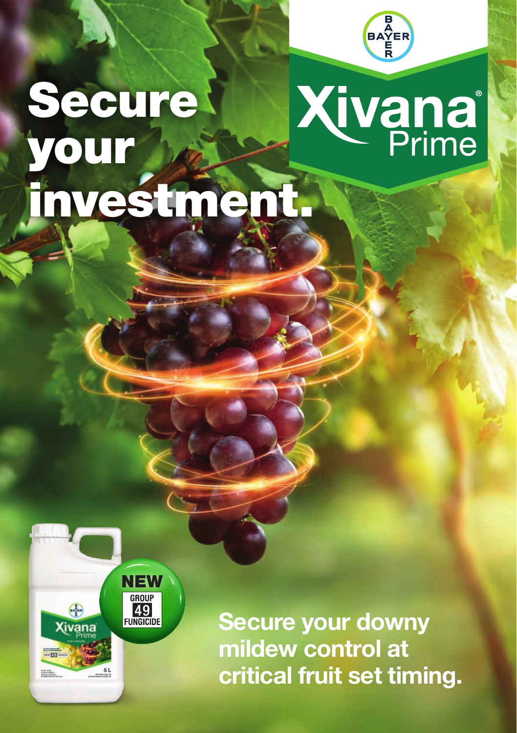

# **Secure Xivana** your investment.

**NEW**<br> **GROUP**<br> **49**<br> **FUNGICIDE** 

**Xivana** 

 $-51$ for the carrier<br>af stamp without is

**Secure your downy mildew control at critical fruit set timing.**